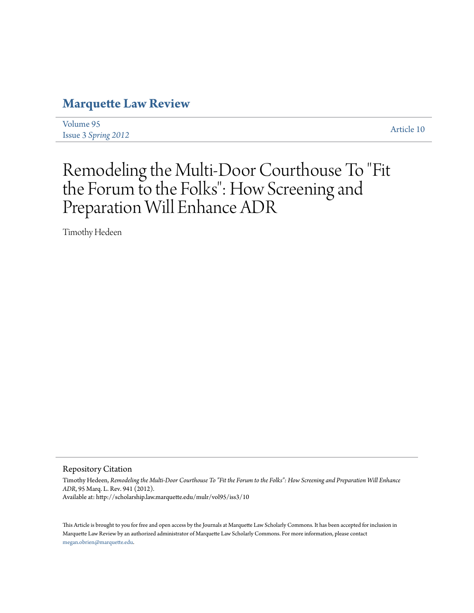# **[Marquette Law Review](http://scholarship.law.marquette.edu/mulr)**

[Volume 95](http://scholarship.law.marquette.edu/mulr/vol95) Issue 3 *[Spring 2012](http://scholarship.law.marquette.edu/mulr/vol95/iss3)* [Article 10](http://scholarship.law.marquette.edu/mulr/vol95/iss3/10)

# Remodeling the Multi-Door Courthouse To "Fit the Forum to the Folks": How Screening and Preparation Will Enhance ADR

Timothy Hedeen

Repository Citation

Timothy Hedeen, *Remodeling the Multi-Door Courthouse To "Fit the Forum to the Folks": How Screening and Preparation Will Enhance ADR*, 95 Marq. L. Rev. 941 (2012). Available at: http://scholarship.law.marquette.edu/mulr/vol95/iss3/10

This Article is brought to you for free and open access by the Journals at Marquette Law Scholarly Commons. It has been accepted for inclusion in Marquette Law Review by an authorized administrator of Marquette Law Scholarly Commons. For more information, please contact [megan.obrien@marquette.edu.](mailto:megan.obrien@marquette.edu)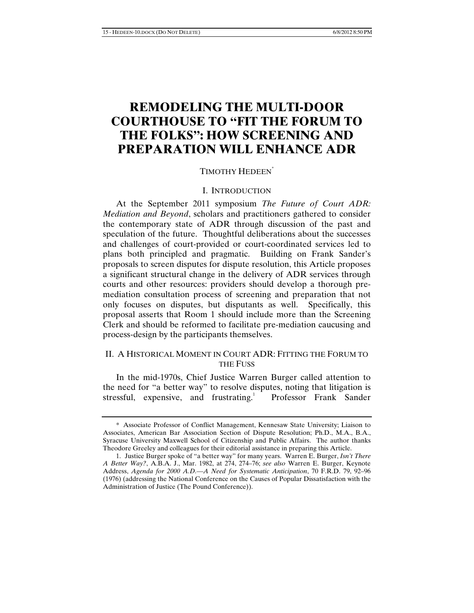## **REMODELING THE MULTI-DOOR COURTHOUSE TO "FIT THE FORUM TO THE FOLKS": HOW SCREENING AND PREPARATION WILL ENHANCE ADR**

#### TIMOTHY HEDEEN\*

### I. INTRODUCTION

At the September 2011 symposium *The Future of Court ADR: Mediation and Beyond*, scholars and practitioners gathered to consider the contemporary state of ADR through discussion of the past and speculation of the future. Thoughtful deliberations about the successes and challenges of court-provided or court-coordinated services led to plans both principled and pragmatic. Building on Frank Sander's proposals to screen disputes for dispute resolution, this Article proposes a significant structural change in the delivery of ADR services through courts and other resources: providers should develop a thorough premediation consultation process of screening and preparation that not only focuses on disputes, but disputants as well. Specifically, this proposal asserts that Room 1 should include more than the Screening Clerk and should be reformed to facilitate pre-mediation caucusing and process-design by the participants themselves.

### II. A HISTORICAL MOMENT IN COURT ADR: FITTING THE FORUM TO THE FUSS

In the mid-1970s, Chief Justice Warren Burger called attention to the need for "a better way" to resolve disputes, noting that litigation is stressful, expensive, and frustrating.<sup>1</sup> Professor Frank Sander

<sup>\*</sup> Associate Professor of Conflict Management, Kennesaw State University; Liaison to Associates, American Bar Association Section of Dispute Resolution; Ph.D., M.A., B.A., Syracuse University Maxwell School of Citizenship and Public Affairs. The author thanks Theodore Greeley and colleagues for their editorial assistance in preparing this Article.

<sup>1.</sup> Justice Burger spoke of "a better way" for many years. Warren E. Burger, *Isn't There A Better Way?*, A.B.A. J., Mar. 1982, at 274, 274–76; *see also* Warren E. Burger, Keynote Address, *Agenda for 2000 A.D.—A Need for Systematic Anticipation*, 70 F.R.D. 79, 92–96 (1976) (addressing the National Conference on the Causes of Popular Dissatisfaction with the Administration of Justice (The Pound Conference)).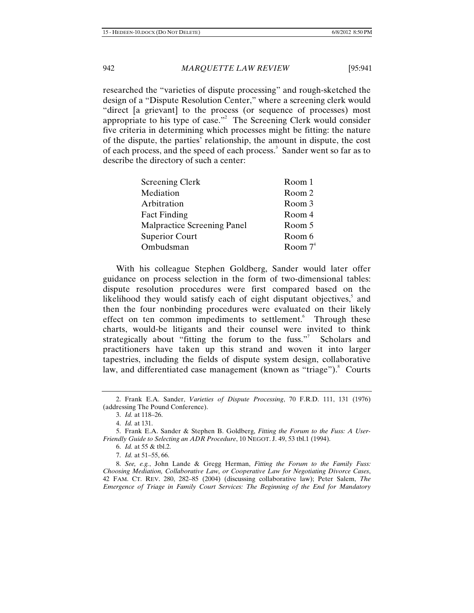researched the "varieties of dispute processing" and rough-sketched the design of a "Dispute Resolution Center," where a screening clerk would "direct [a grievant] to the process (or sequence of processes) most appropriate to his type of case."<sup>2</sup> The Screening Clerk would consider five criteria in determining which processes might be fitting: the nature of the dispute, the parties' relationship, the amount in dispute, the cost of each process, and the speed of each process.<sup>3</sup> Sander went so far as to describe the directory of such a center:

| Room 1     |
|------------|
| Room 2     |
| Room 3     |
| Room 4     |
| Room 5     |
| Room 6     |
| Room $7^4$ |
|            |

With his colleague Stephen Goldberg, Sander would later offer guidance on process selection in the form of two-dimensional tables: dispute resolution procedures were first compared based on the likelihood they would satisfy each of eight disputant objectives,<sup>5</sup> and then the four nonbinding procedures were evaluated on their likely effect on ten common impediments to settlement.<sup>6</sup> Through these charts, would-be litigants and their counsel were invited to think strategically about "fitting the forum to the fuss."<sup>7</sup> Scholars and practitioners have taken up this strand and woven it into larger tapestries, including the fields of dispute system design, collaborative law, and differentiated case management (known as "triage"). Courts

<sup>2.</sup> Frank E.A. Sander, *Varieties of Dispute Processing*, 70 F.R.D. 111, 131 (1976) (addressing The Pound Conference).

<sup>3.</sup> *Id.* at 118–26.

<sup>4.</sup> *Id.* at 131.

<sup>5.</sup> Frank E.A. Sander & Stephen B. Goldberg, *Fitting the Forum to the Fuss: A User-Friendly Guide to Selecting an ADR Procedure*, 10 NEGOT. J. 49, 53 tbl.1 (1994).

<sup>6.</sup> *Id.* at 55 & tbl.2.

<sup>7.</sup> *Id.* at 51–55, 66.

<sup>8.</sup> *See, e.g.*, John Lande & Gregg Herman, *Fitting the Forum to the Family Fuss: Choosing Mediation, Collaborative Law, or Cooperative Law for Negotiating Divorce Cases*, 42 FAM. CT. REV. 280, 282–85 (2004) (discussing collaborative law); Peter Salem, *The Emergence of Triage in Family Court Services: The Beginning of the End for Mandatory*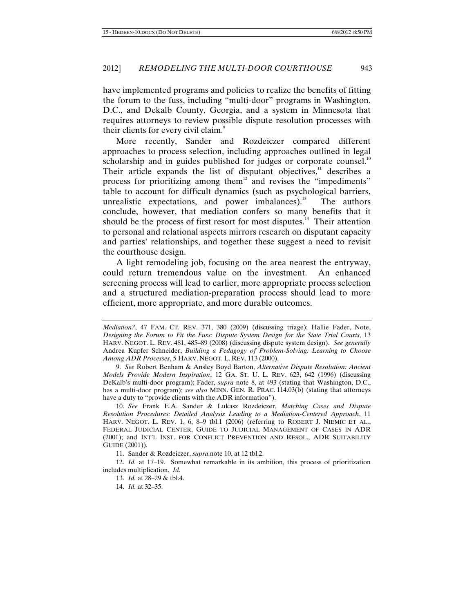have implemented programs and policies to realize the benefits of fitting the forum to the fuss, including "multi-door" programs in Washington, D.C., and Dekalb County, Georgia, and a system in Minnesota that requires attorneys to review possible dispute resolution processes with their clients for every civil claim.<sup>9</sup>

More recently, Sander and Rozdeiczer compared different approaches to process selection, including approaches outlined in legal scholarship and in guides published for judges or corporate counsel.<sup>10</sup> Their article expands the list of disputant objectives, $11$  describes a process for prioritizing among them<sup>12</sup> and revises the "impediments" table to account for difficult dynamics (such as psychological barriers, unrealistic expectations, and power imbalances).<sup>13</sup> The authors conclude, however, that mediation confers so many benefits that it should be the process of first resort for most disputes. $14$  Their attention to personal and relational aspects mirrors research on disputant capacity and parties' relationships, and together these suggest a need to revisit the courthouse design.

A light remodeling job, focusing on the area nearest the entryway, could return tremendous value on the investment. An enhanced screening process will lead to earlier, more appropriate process selection and a structured mediation-preparation process should lead to more efficient, more appropriate, and more durable outcomes.

11. Sander & Rozdeiczer, *supra* note 10, at 12 tbl.2.

12. *Id.* at 17–19. Somewhat remarkable in its ambition, this process of prioritization includes multiplication. *Id.*

14. *Id.* at 32–35.

*Mediation?*, 47 FAM. CT. REV. 371, 380 (2009) (discussing triage); Hallie Fader, Note, *Designing the Forum to Fit the Fuss: Dispute System Design for the State Trial Courts*, 13 HARV. NEGOT. L. REV. 481, 485–89 (2008) (discussing dispute system design). *See generally* Andrea Kupfer Schneider, *Building a Pedagogy of Problem-Solving: Learning to Choose Among ADR Processes*, 5 HARV. NEGOT. L. REV. 113 (2000).

<sup>9.</sup> *See* Robert Benham & Ansley Boyd Barton, *Alternative Dispute Resolution: Ancient Models Provide Modern Inspiration*, 12 GA. ST. U. L. REV. 623, 642 (1996) (discussing DeKalb's multi-door program); Fader, *supra* note 8, at 493 (stating that Washington, D.C., has a multi-door program); *see also* MINN. GEN. R. PRAC. 114.03(b) (stating that attorneys have a duty to "provide clients with the ADR information").

<sup>10.</sup> *See* Frank E.A. Sander & Lukasz Rozdeiczer, *Matching Cases and Dispute Resolution Procedures: Detailed Analysis Leading to a Mediation-Centered Approach*, 11 HARV. NEGOT. L. REV. 1, 6, 8–9 tbl.1 (2006) (referring to ROBERT J. NIEMIC ET AL., FEDERAL JUDICIAL CENTER, GUIDE TO JUDICIAL MANAGEMENT OF CASES IN ADR (2001); and INT'L INST. FOR CONFLICT PREVENTION AND RESOL., ADR SUITABILITY GUIDE (2001)).

<sup>13.</sup> *Id.* at 28–29 & tbl.4.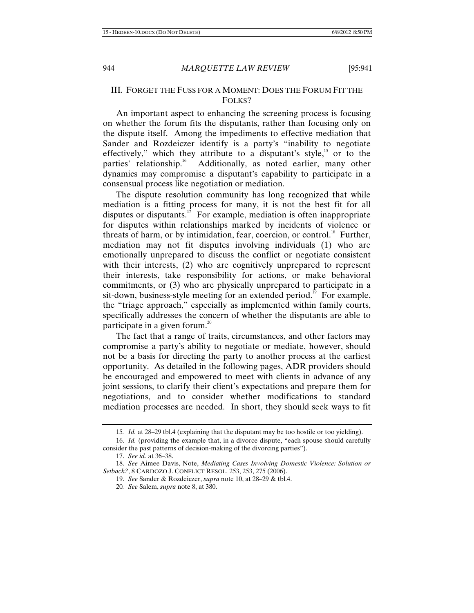#### III. FORGET THE FUSS FOR A MOMENT: DOES THE FORUM FIT THE FOLKS?

An important aspect to enhancing the screening process is focusing on whether the forum fits the disputants, rather than focusing only on the dispute itself. Among the impediments to effective mediation that Sander and Rozdeiczer identify is a party's "inability to negotiate effectively," which they attribute to a disputant's style, $15$  or to the parties' relationship.<sup>16</sup> Additionally, as noted earlier, many other dynamics may compromise a disputant's capability to participate in a consensual process like negotiation or mediation.

The dispute resolution community has long recognized that while mediation is a fitting process for many, it is not the best fit for all disputes or disputants.<sup>17</sup> For example, mediation is often inappropriate for disputes within relationships marked by incidents of violence or threats of harm, or by intimidation, fear, coercion, or control.<sup>18</sup> Further, mediation may not fit disputes involving individuals (1) who are emotionally unprepared to discuss the conflict or negotiate consistent with their interests, (2) who are cognitively unprepared to represent their interests, take responsibility for actions, or make behavioral commitments, or (3) who are physically unprepared to participate in a sit-down, business-style meeting for an extended period.<sup>19</sup> For example, the "triage approach," especially as implemented within family courts, specifically addresses the concern of whether the disputants are able to participate in a given forum.<sup>20</sup>

The fact that a range of traits, circumstances, and other factors may compromise a party's ability to negotiate or mediate, however, should not be a basis for directing the party to another process at the earliest opportunity. As detailed in the following pages, ADR providers should be encouraged and empowered to meet with clients in advance of any joint sessions, to clarify their client's expectations and prepare them for negotiations, and to consider whether modifications to standard mediation processes are needed. In short, they should seek ways to fit

<sup>15</sup>*. Id.* at 28–29 tbl.4 (explaining that the disputant may be too hostile or too yielding).

<sup>16.</sup> *Id.* (providing the example that, in a divorce dispute, "each spouse should carefully consider the past patterns of decision-making of the divorcing parties").

<sup>17.</sup> *See id.* at 36–38.

<sup>18.</sup> *See* Aimee Davis, Note, *Mediating Cases Involving Domestic Violence: Solution or Setback?*, 8 CARDOZO J. CONFLICT RESOL. 253, 253, 275 (2006).

<sup>19.</sup> *See* Sander & Rozdeiczer, *supra* note 10, at 28–29 & tbl.4.

<sup>20</sup>*. See* Salem, *supra* note 8, at 380.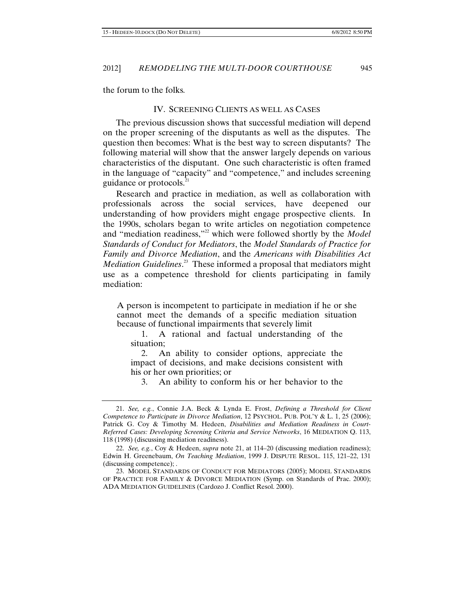the forum to the folks*.*

#### IV. SCREENING CLIENTS AS WELL AS CASES

The previous discussion shows that successful mediation will depend on the proper screening of the disputants as well as the disputes. The question then becomes: What is the best way to screen disputants? The following material will show that the answer largely depends on various characteristics of the disputant. One such characteristic is often framed in the language of "capacity" and "competence," and includes screening guidance or protocols.<sup>21</sup>

Research and practice in mediation, as well as collaboration with professionals across the social services, have deepened our understanding of how providers might engage prospective clients. In the 1990s, scholars began to write articles on negotiation competence and "mediation readiness,"<sup>22</sup> which were followed shortly by the *Model Standards of Conduct for Mediators*, the *Model Standards of Practice for Family and Divorce Mediation*, and the *Americans with Disabilities Act Mediation Guidelines*. 23 These informed a proposal that mediators might use as a competence threshold for clients participating in family mediation:

A person is incompetent to participate in mediation if he or she cannot meet the demands of a specific mediation situation because of functional impairments that severely limit

1. A rational and factual understanding of the situation;

2. An ability to consider options, appreciate the impact of decisions, and make decisions consistent with his or her own priorities; or

3. An ability to conform his or her behavior to the

<sup>21.</sup> *See, e.g.*, Connie J.A. Beck & Lynda E. Frost, *Defining a Threshold for Client Competence to Participate in Divorce Mediation*, 12 PSYCHOL. PUB. POL'Y & L. 1, 25 (2006); Patrick G. Coy & Timothy M. Hedeen, *Disabilities and Mediation Readiness in Court-Referred Cases: Developing Screening Criteria and Service Networks*, 16 MEDIATION Q. 113, 118 (1998) (discussing mediation readiness).

<sup>22.</sup> *See, e.g.*, Coy & Hedeen, *supra* note 21, at 114–20 (discussing mediation readiness); Edwin H. Greenebaum, *On Teaching Mediation*, 1999 J. DISPUTE RESOL. 115, 121–22, 131 (discussing competence); .

<sup>23.</sup> MODEL STANDARDS OF CONDUCT FOR MEDIATORS (2005); MODEL STANDARDS OF PRACTICE FOR FAMILY & DIVORCE MEDIATION (Symp. on Standards of Prac. 2000); ADA MEDIATION GUIDELINES (Cardozo J. Conflict Resol. 2000).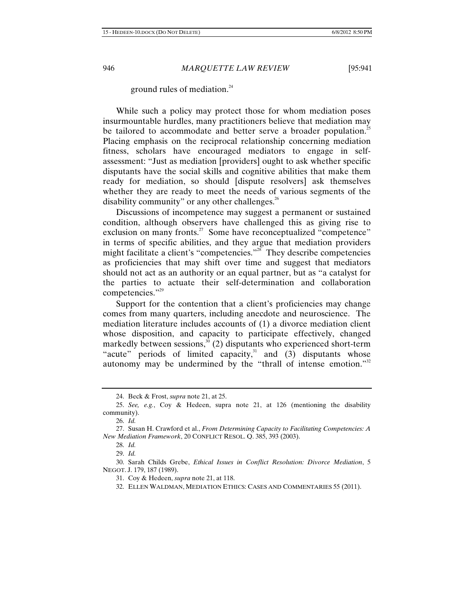ground rules of mediation. $24$ 

While such a policy may protect those for whom mediation poses insurmountable hurdles, many practitioners believe that mediation may be tailored to accommodate and better serve a broader population.<sup>25</sup> Placing emphasis on the reciprocal relationship concerning mediation fitness, scholars have encouraged mediators to engage in selfassessment: "Just as mediation [providers] ought to ask whether specific disputants have the social skills and cognitive abilities that make them ready for mediation, so should [dispute resolvers] ask themselves whether they are ready to meet the needs of various segments of the disability community" or any other challenges. $26$ 

Discussions of incompetence may suggest a permanent or sustained condition, although observers have challenged this as giving rise to exclusion on many fronts.<sup>27</sup> Some have reconceptualized "competence" in terms of specific abilities, and they argue that mediation providers might facilitate a client's "competencies."<sup>28</sup> They describe competencies as proficiencies that may shift over time and suggest that mediators should not act as an authority or an equal partner, but as "a catalyst for the parties to actuate their self-determination and collaboration competencies."<sup>29</sup>

Support for the contention that a client's proficiencies may change comes from many quarters, including anecdote and neuroscience. The mediation literature includes accounts of (1) a divorce mediation client whose disposition, and capacity to participate effectively, changed markedly between sessions,<sup>30</sup> (2) disputants who experienced short-term "acute" periods of limited capacity, $31$  and  $(3)$  disputants whose autonomy may be undermined by the "thrall of intense emotion."<sup>32</sup>

<sup>24.</sup> Beck & Frost, *supra* note 21, at 25.

<sup>25.</sup> *See, e.g.*, Coy & Hedeen, supra note 21, at 126 (mentioning the disability community).

<sup>26.</sup> *Id.*

<sup>27.</sup> Susan H. Crawford et al., *From Determining Capacity to Facilitating Competencies: A New Mediation Framework*, 20 CONFLICT RESOL. Q. 385, 393 (2003).

<sup>28.</sup> *Id.*

<sup>29.</sup> *Id.*

<sup>30.</sup> Sarah Childs Grebe, *Ethical Issues in Conflict Resolution: Divorce Mediation*, 5 NEGOT. J. 179, 187 (1989).

<sup>31.</sup> Coy & Hedeen, *supra* note 21, at 118.

<sup>32.</sup> ELLEN WALDMAN, MEDIATION ETHICS: CASES AND COMMENTARIES 55 (2011).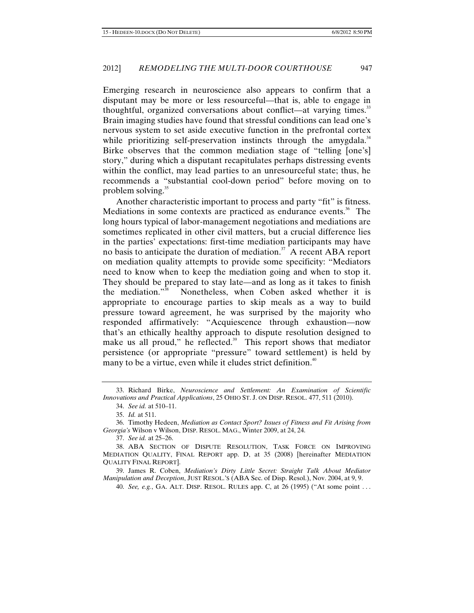Emerging research in neuroscience also appears to confirm that a disputant may be more or less resourceful—that is, able to engage in thoughtful, organized conversations about conflict—at varying times.<sup>33</sup> Brain imaging studies have found that stressful conditions can lead one's nervous system to set aside executive function in the prefrontal cortex while prioritizing self-preservation instincts through the amygdala. $34$ Birke observes that the common mediation stage of "telling [one's] story," during which a disputant recapitulates perhaps distressing events within the conflict, may lead parties to an unresourceful state; thus, he recommends a "substantial cool-down period" before moving on to problem solving. $35$ 

Another characteristic important to process and party "fit" is fitness. Mediations in some contexts are practiced as endurance events.<sup>36</sup> The long hours typical of labor-management negotiations and mediations are sometimes replicated in other civil matters, but a crucial difference lies in the parties' expectations: first-time mediation participants may have no basis to anticipate the duration of mediation.<sup>37</sup> A recent ABA report on mediation quality attempts to provide some specificity: "Mediators need to know when to keep the mediation going and when to stop it. They should be prepared to stay late—and as long as it takes to finish the mediation."38 Nonetheless, when Coben asked whether it is appropriate to encourage parties to skip meals as a way to build pressure toward agreement, he was surprised by the majority who responded affirmatively: "Acquiescence through exhaustion—now that's an ethically healthy approach to dispute resolution designed to make us all proud," he reflected. $39$  This report shows that mediator persistence (or appropriate "pressure" toward settlement) is held by many to be a virtue, even while it eludes strict definition.<sup>40</sup>

37. *See id.* at 25–26.

<sup>33.</sup> Richard Birke, *Neuroscience and Settlement: An Examination of Scientific Innovations and Practical Applications*, 25 OHIO ST. J. ON DISP. RESOL. 477, 511 (2010).

<sup>34.</sup> *See id.* at 510–11.

<sup>35.</sup> *Id.* at 511.

<sup>36.</sup> Timothy Hedeen, *Mediation as Contact Sport? Issues of Fitness and Fit Arising from Georgia's* Wilson v Wilson, DISP. RESOL. MAG., Winter 2009, at 24, 24.

<sup>38.</sup> ABA SECTION OF DISPUTE RESOLUTION, TASK FORCE ON IMPROVING MEDIATION QUALITY, FINAL REPORT app. D, at 35 (2008) [hereinafter MEDIATION QUALITY FINAL REPORT].

<sup>39.</sup> James R. Coben, *Mediation's Dirty Little Secret: Straight Talk About Mediator Manipulation and Deception*, JUST RESOL.'S (ABA Sec. of Disp. Resol.), Nov. 2004, at 9, 9.

<sup>40.</sup> *See, e.g.*, GA. ALT. DISP. RESOL. RULES app. C, at 26 (1995) ("At some point . . .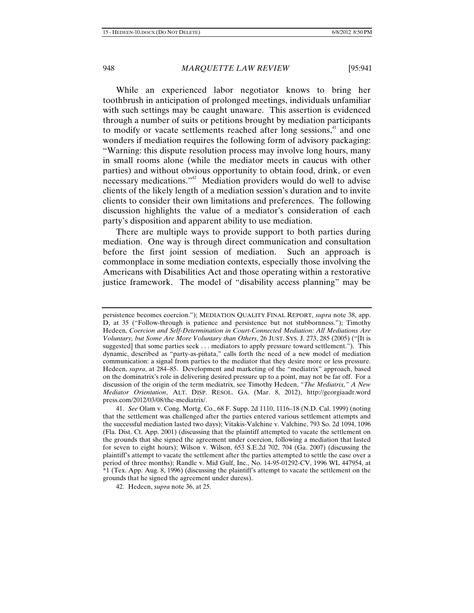While an experienced labor negotiator knows to bring her toothbrush in anticipation of prolonged meetings, individuals unfamiliar with such settings may be caught unaware. This assertion is evidenced through a number of suits or petitions brought by mediation participants to modify or vacate settlements reached after long sessions,<sup>41</sup> and one wonders if mediation requires the following form of advisory packaging: "Warning: this dispute resolution process may involve long hours, many in small rooms alone (while the mediator meets in caucus with other parties) and without obvious opportunity to obtain food, drink, or even necessary medications."<sup>42</sup> Mediation providers would do well to advise clients of the likely length of a mediation session's duration and to invite clients to consider their own limitations and preferences. The following discussion highlights the value of a mediator's consideration of each party's disposition and apparent ability to use mediation.

There are multiple ways to provide support to both parties during mediation. One way is through direct communication and consultation before the first joint session of mediation. Such an approach is commonplace in some mediation contexts, especially those involving the Americans with Disabilities Act and those operating within a restorative justice framework. The model of "disability access planning" may be

42. Hedeen, *supra* note 36, at 25.

persistence becomes coercion."); MEDIATION QUALITY FINAL REPORT, *supra* note 38, app. D, at 35 ("Follow-through is patience and persistence but not stubbornness."); Timothy Hedeen, *Coercion and Self-Determination in Court-Connected Mediation: All Mediations Are Voluntary, but Some Are More Voluntary than Others*, 26 JUST. SYS. J. 273, 285 (2005) ("[It is suggested] that some parties seek . . . mediators to apply pressure toward settlement."). This dynamic, described as "party-as-piñata," calls forth the need of a new model of mediation communication: a signal from parties to the mediator that they desire more or less pressure. Hedeen, *supra*, at 284–85. Development and marketing of the "mediatrix" approach, based on the dominatrix's role in delivering desired pressure up to a point, may not be far off. For a discussion of the origin of the term mediatrix, see Timothy Hedeen, *"The Mediatrix," A New Mediator Orientation*, ALT. DISP. RESOL. GA. (Mar. 8, 2012), http://georgiaadr.word press.com/2012/03/08/the-mediatrix/.

<sup>41.</sup> *See* Olam v. Cong. Mortg. Co., 68 F. Supp. 2d 1110, 1116–18 (N.D. Cal. 1999) (noting that the settlement was challenged after the parties entered various settlement attempts and the successful mediation lasted two days); Vitakis-Valchine v. Valchine, 793 So. 2d 1094, 1096 (Fla. Dist. Ct. App. 2001) (discussing that the plaintiff attempted to vacate the settlement on the grounds that she signed the agreement under coercion, following a mediation that lasted for seven to eight hours); Wilson v. Wilson, 653 S.E.2d 702, 704 (Ga. 2007) (discussing the plaintiff's attempt to vacate the settlement after the parties attempted to settle the case over a period of three months); Randle v. Mid Gulf, Inc., No. 14-95-01292-CV, 1996 WL 447954, at \*1 (Tex. App. Aug. 8, 1996) (discussing the plaintiff's attempt to vacate the settlement on the grounds that he signed the agreement under duress).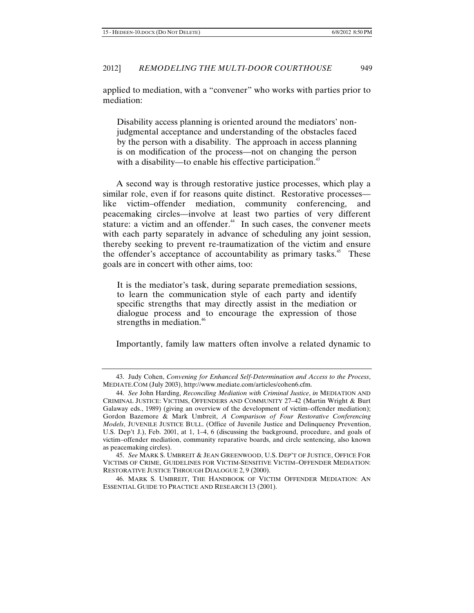applied to mediation, with a "convener" who works with parties prior to mediation:

Disability access planning is oriented around the mediators' nonjudgmental acceptance and understanding of the obstacles faced by the person with a disability. The approach in access planning is on modification of the process—not on changing the person with a disability—to enable his effective participation.<sup>43</sup>

A second way is through restorative justice processes, which play a similar role, even if for reasons quite distinct. Restorative processes like victim–offender mediation, community conferencing, and peacemaking circles—involve at least two parties of very different stature: a victim and an offender.<sup>44</sup> In such cases, the convener meets with each party separately in advance of scheduling any joint session, thereby seeking to prevent re-traumatization of the victim and ensure the offender's acceptance of accountability as primary tasks.<sup>45</sup> These goals are in concert with other aims, too:

It is the mediator's task, during separate premediation sessions, to learn the communication style of each party and identify specific strengths that may directly assist in the mediation or dialogue process and to encourage the expression of those strengths in mediation. $46$ 

Importantly, family law matters often involve a related dynamic to

<sup>43.</sup> Judy Cohen, *Convening for Enhanced Self-Determination and Access to the Process*, MEDIATE.COM (July 2003), http://www.mediate.com/articles/cohen6.cfm.

<sup>44.</sup> *See* John Harding, *Reconciling Mediation with Criminal Justice*, *in* MEDIATION AND CRIMINAL JUSTICE: VICTIMS, OFFENDERS AND COMMUNITY 27–42 (Martin Wright & Burt Galaway eds., 1989) (giving an overview of the development of victim–offender mediation); Gordon Bazemore & Mark Umbreit, *A Comparison of Four Restorative Conferencing Models*, JUVENILE JUSTICE BULL. (Office of Juvenile Justice and Delinquency Prevention, U.S. Dep't J.), Feb. 2001, at 1, 1–4, 6 (discussing the background, procedure, and goals of victim–offender mediation, community reparative boards, and circle sentencing, also known as peacemaking circles).

<sup>45.</sup> *See* MARK S. UMBREIT & JEAN GREENWOOD, U.S. DEP'T OF JUSTICE, OFFICE FOR VICTIMS OF CRIME, GUIDELINES FOR VICTIM-SENSITIVE VICTIM–OFFENDER MEDIATION: RESTORATIVE JUSTICE THROUGH DIALOGUE 2, 9 (2000).

<sup>46.</sup> MARK S. UMBREIT, THE HANDBOOK OF VICTIM OFFENDER MEDIATION: AN ESSENTIAL GUIDE TO PRACTICE AND RESEARCH 13 (2001).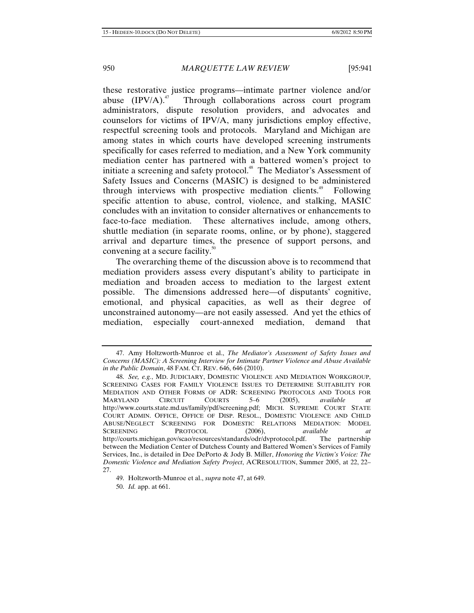these restorative justice programs—intimate partner violence and/or abuse  $(IPV/A)^{4}$  Through collaborations across court program administrators, dispute resolution providers, and advocates and counselors for victims of IPV/A, many jurisdictions employ effective, respectful screening tools and protocols. Maryland and Michigan are among states in which courts have developed screening instruments specifically for cases referred to mediation, and a New York community mediation center has partnered with a battered women's project to initiate a screening and safety protocol.<sup>48</sup> The Mediator's Assessment of Safety Issues and Concerns (MASIC) is designed to be administered through interviews with prospective mediation clients.<sup>49</sup> Following specific attention to abuse, control, violence, and stalking, MASIC concludes with an invitation to consider alternatives or enhancements to face-to-face mediation. These alternatives include, among others, shuttle mediation (in separate rooms, online, or by phone), staggered arrival and departure times, the presence of support persons, and convening at a secure facility.<sup>50</sup>

The overarching theme of the discussion above is to recommend that mediation providers assess every disputant's ability to participate in mediation and broaden access to mediation to the largest extent possible. The dimensions addressed here—of disputants' cognitive, emotional, and physical capacities, as well as their degree of unconstrained autonomy—are not easily assessed. And yet the ethics of mediation, especially court-annexed mediation, demand that

<sup>47.</sup> Amy Holtzworth-Munroe et al., *The Mediator's Assessment of Safety Issues and Concerns (MASIC): A Screening Interview for Intimate Partner Violence and Abuse Available in the Public Domain*, 48 FAM. CT. REV. 646, 646 (2010).

<sup>48.</sup> *See, e.g.*, MD. JUDICIARY, DOMESTIC VIOLENCE AND MEDIATION WORKGROUP, SCREENING CASES FOR FAMILY VIOLENCE ISSUES TO DETERMINE SUITABILITY FOR MEDIATION AND OTHER FORMS OF ADR: SCREENING PROTOCOLS AND TOOLS FOR MARYLAND CIRCUIT COURTS 5–6 (2005), *available at* http://www.courts.state.md.us/family/pdf/screening.pdf; MICH. SUPREME COURT STATE COURT ADMIN. OFFICE, OFFICE OF DISP. RESOL., DOMESTIC VIOLENCE AND CHILD ABUSE/NEGLECT SCREENING FOR DOMESTIC RELATIONS MEDIATION: MODEL<br>SCREENING PROTOCOL (2006), available at SCREENING PROTOCOL (2006), *available at*  http://courts.michigan.gov/scao/resources/standards/odr/dvprotocol.pdf. The partnership between the Mediation Center of Dutchess County and Battered Women's Services of Family Services, Inc., is detailed in Dee DePorto & Jody B. Miller, *Honoring the Victim's Voice: The Domestic Violence and Mediation Safety Project*, ACRESOLUTION, Summer 2005, at 22, 22– 27.

<sup>49.</sup> Holtzworth-Munroe et al., *supra* note 47, at 649.

<sup>50.</sup> *Id.* app. at 661.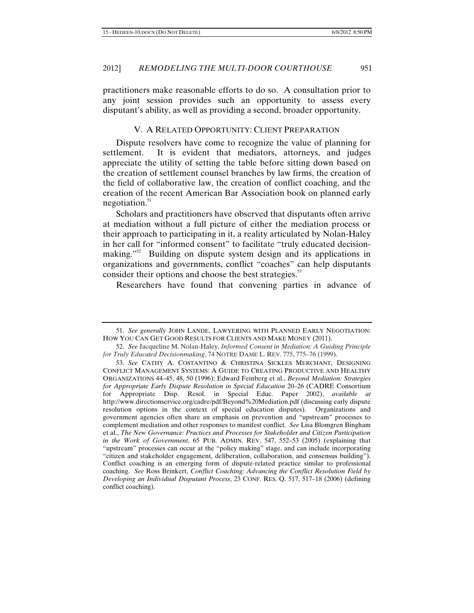practitioners make reasonable efforts to do so. A consultation prior to any joint session provides such an opportunity to assess every disputant's ability, as well as providing a second, broader opportunity.

### V. A RELATED OPPORTUNITY: CLIENT PREPARATION

Dispute resolvers have come to recognize the value of planning for settlement. It is evident that mediators, attorneys, and judges appreciate the utility of setting the table before sitting down based on the creation of settlement counsel branches by law firms, the creation of the field of collaborative law, the creation of conflict coaching, and the creation of the recent American Bar Association book on planned early negotiation.<sup>51</sup>

Scholars and practitioners have observed that disputants often arrive at mediation without a full picture of either the mediation process or their approach to participating in it, a reality articulated by Nolan-Haley in her call for "informed consent" to facilitate "truly educated decisionmaking."<sup>52</sup> Building on dispute system design and its applications in organizations and governments, conflict "coaches" can help disputants consider their options and choose the best strategies.<sup>53</sup>

Researchers have found that convening parties in advance of

<sup>51.</sup> *See generally* JOHN LANDE, LAWYERING WITH PLANNED EARLY NEGOTIATION: HOW YOU CAN GET GOOD RESULTS FOR CLIENTS AND MAKE MONEY (2011).

<sup>52.</sup> *See* Jacqueline M. Nolan-Haley, *Informed Consent in Mediation: A Guiding Principle for Truly Educated Decisionmaking*, 74 NOTRE DAME L. REV. 775, 775–76 (1999).

<sup>53.</sup> *See* CATHY A. COSTANTINO & CHRISTINA SICKLES MERCHANT, DESIGNING CONFLICT MANAGEMENT SYSTEMS: A GUIDE TO CREATING PRODUCTIVE AND HEALTHY ORGANIZATIONS 44–45, 48, 50 (1996); Edward Feinberg et al., *Beyond Mediation: Strategies for Appropriate Early Dispute Resolution in Special Education* 20–26 (CADRE Consortium for Appropriate Disp. Resol. in Special Educ. Paper 2002), *available at* http://www.directionservice.org/cadre/pdf/Beyond%20Mediation.pdf (discussing early dispute resolution options in the context of special education disputes). Organizations and government agencies often share an emphasis on prevention and "upstream" processes to complement mediation and other responses to manifest conflict. *See* Lisa Blomgren Bingham et al., *The New Governance: Practices and Processes for Stakeholder and Citizen Participation in the Work of Government*, 65 PUB. ADMIN. REV. 547, 552–53 (2005) (explaining that "upstream" processes can occur at the "policy making" stage, and can include incorporating "citizen and stakeholder engagement, deliberation, collaboration, and consensus building"). Conflict coaching is an emerging form of dispute-related practice similar to professional coaching. *See* Ross Brinkert, *Conflict Coaching: Advancing the Conflict Resolution Field by Developing an Individual Disputant Process*, 23 CONF. RES. Q. 517, 517–18 (2006) (defining conflict coaching).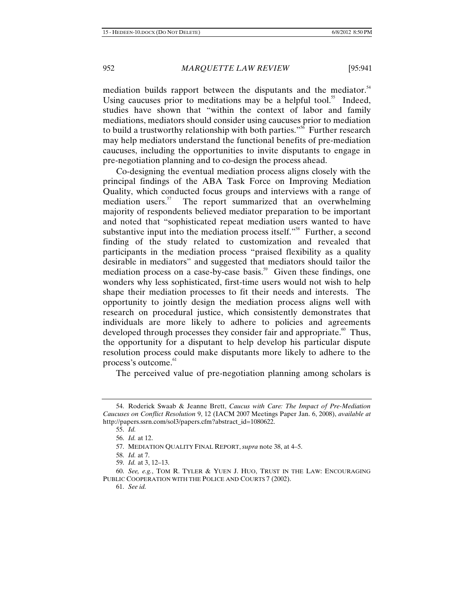mediation builds rapport between the disputants and the mediator.<sup>54</sup> Using caucuses prior to meditations may be a helpful tool.<sup>55</sup> Indeed, studies have shown that "within the context of labor and family mediations, mediators should consider using caucuses prior to mediation to build a trustworthy relationship with both parties."<sup>56</sup> Further research may help mediators understand the functional benefits of pre-mediation caucuses, including the opportunities to invite disputants to engage in pre-negotiation planning and to co-design the process ahead.

Co-designing the eventual mediation process aligns closely with the principal findings of the ABA Task Force on Improving Mediation Quality, which conducted focus groups and interviews with a range of mediation users. $57$  The report summarized that an overwhelming majority of respondents believed mediator preparation to be important and noted that "sophisticated repeat mediation users wanted to have substantive input into the mediation process itself."<sup>58</sup> Further, a second finding of the study related to customization and revealed that participants in the mediation process "praised flexibility as a quality desirable in mediators" and suggested that mediators should tailor the mediation process on a case-by-case basis.<sup>59</sup> Given these findings, one wonders why less sophisticated, first-time users would not wish to help shape their mediation processes to fit their needs and interests. The opportunity to jointly design the mediation process aligns well with research on procedural justice, which consistently demonstrates that individuals are more likely to adhere to policies and agreements developed through processes they consider fair and appropriate.<sup> $\omega$ </sup> Thus, the opportunity for a disputant to help develop his particular dispute resolution process could make disputants more likely to adhere to the process's outcome.<sup>61</sup>

The perceived value of pre-negotiation planning among scholars is

<sup>54.</sup> Roderick Swaab & Jeanne Brett, *Caucus with Care: The Impact of Pre-Mediation Caucuses on Conflict Resolution* 9, 12 (IACM 2007 Meetings Paper Jan. 6, 2008), *available at*  http://papers.ssrn.com/sol3/papers.cfm?abstract\_id=1080622.

<sup>55.</sup> *Id.*

<sup>56.</sup> *Id.* at 12.

<sup>57.</sup> MEDIATION QUALITY FINAL REPORT, *supra* note 38, at 4–5.

<sup>58.</sup> *Id.* at 7.

<sup>59.</sup> *Id.* at 3, 12–13.

<sup>60.</sup> *See, e.g.*, TOM R. TYLER & YUEN J. HUO, TRUST IN THE LAW: ENCOURAGING PUBLIC COOPERATION WITH THE POLICE AND COURTS 7 (2002).

<sup>61.</sup> *See id.*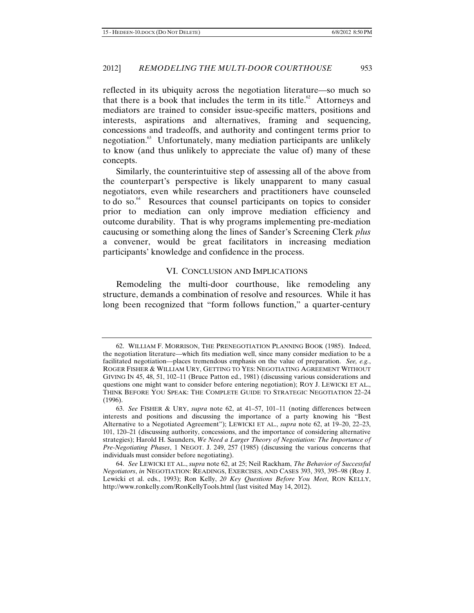reflected in its ubiquity across the negotiation literature—so much so that there is a book that includes the term in its title. $62$  Attorneys and mediators are trained to consider issue-specific matters, positions and interests, aspirations and alternatives, framing and sequencing, concessions and tradeoffs, and authority and contingent terms prior to negotiation.<sup>63</sup> Unfortunately, many mediation participants are unlikely to know (and thus unlikely to appreciate the value of) many of these concepts.

Similarly, the counterintuitive step of assessing all of the above from the counterpart's perspective is likely unapparent to many casual negotiators, even while researchers and practitioners have counseled to do so.<sup>64</sup> Resources that counsel participants on topics to consider prior to mediation can only improve mediation efficiency and outcome durability. That is why programs implementing pre-mediation caucusing or something along the lines of Sander's Screening Clerk *plus* a convener, would be great facilitators in increasing mediation participants' knowledge and confidence in the process.

#### VI. CONCLUSION AND IMPLICATIONS

Remodeling the multi-door courthouse, like remodeling any structure, demands a combination of resolve and resources. While it has long been recognized that "form follows function," a quarter-century

<sup>62.</sup> WILLIAM F. MORRISON, THE PRENEGOTIATION PLANNING BOOK (1985). Indeed, the negotiation literature—which fits mediation well, since many consider mediation to be a facilitated negotiation—places tremendous emphasis on the value of preparation. *See, e.g.*, ROGER FISHER & WILLIAM URY, GETTING TO YES: NEGOTIATING AGREEMENT WITHOUT GIVING IN 45, 48, 51, 102–11 (Bruce Patton ed., 1981) (discussing various considerations and questions one might want to consider before entering negotiation); ROY J. LEWICKI ET AL., THINK BEFORE YOU SPEAK: THE COMPLETE GUIDE TO STRATEGIC NEGOTIATION 22–24 (1996).

<sup>63.</sup> *See* FISHER & URY, *supra* note 62, at 41–57, 101–11 (noting differences between interests and positions and discussing the importance of a party knowing his "Best Alternative to a Negotiated Agreement"); LEWICKI ET AL., *supra* note 62, at 19–20, 22–23, 101, 120–21 (discussing authority, concessions, and the importance of considering alternative strategies); Harold H. Saunders, *We Need a Larger Theory of Negotiation: The Importance of Pre-Negotiating Phases*, 1 NEGOT. J. 249, 257 (1985) (discussing the various concerns that individuals must consider before negotiating).

<sup>64.</sup> *See* LEWICKI ET AL., *supra* note 62, at 25; Neil Rackham, *The Behavior of Successful Negotiators*, *in* NEGOTIATION: READINGS, EXERCISES, AND CASES 393, 393, 395–98 (Roy J. Lewicki et al. eds., 1993); Ron Kelly, *20 Key Questions Before You Meet*, RON KELLY, http://www.ronkelly.com/RonKellyTools.html (last visited May 14, 2012).